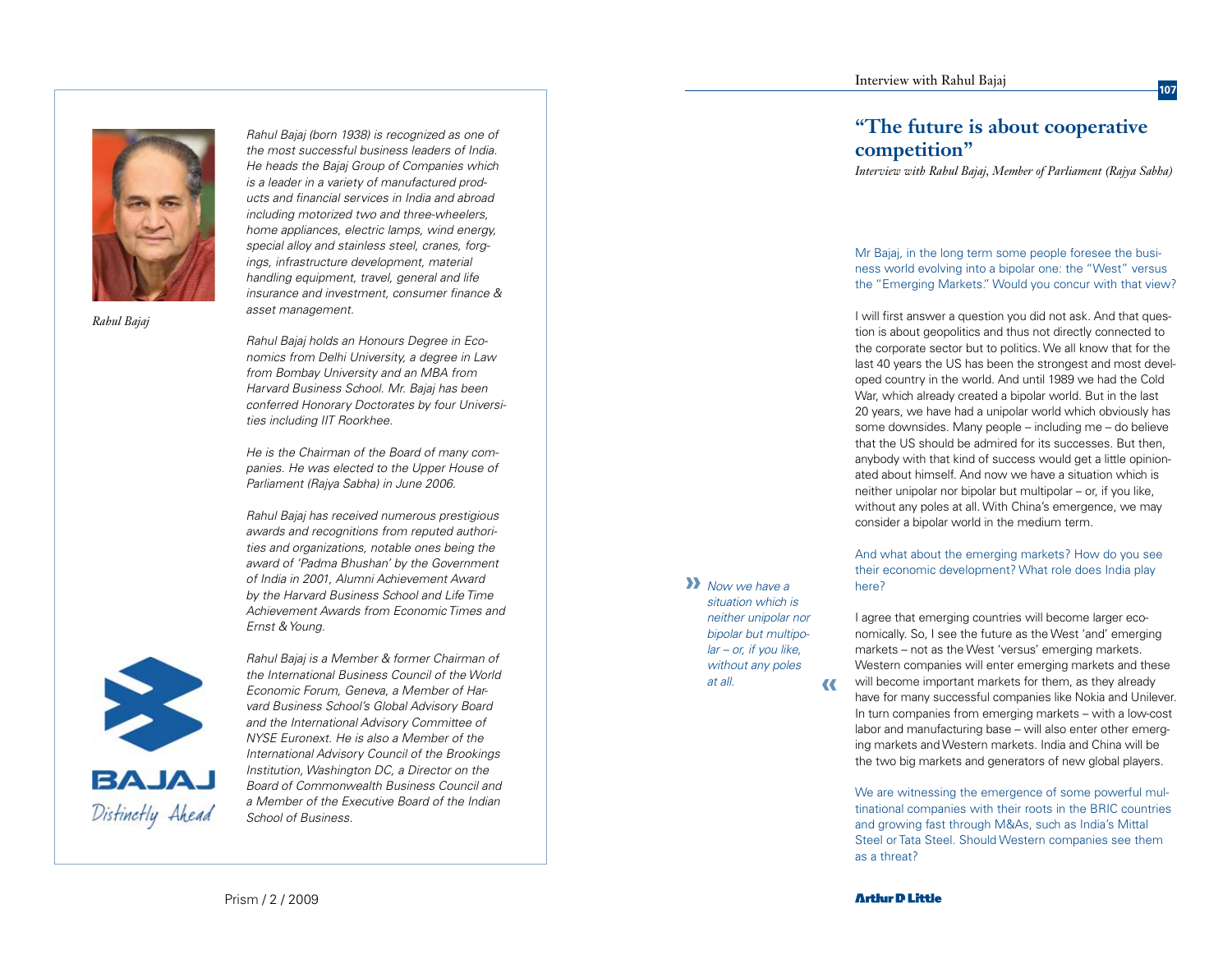

*Rahul Bajaj*

*Rahul Bajaj (born 1938) is recognized as one of the most successful business leaders of India. He heads the Bajaj Group of Companies which is a leader in a variety of manufactured products and financial services in India and abroad including motorized two and three-wheelers, home appliances, electric lamps, wind energy, special alloy and stainless steel, cranes, forg ings, infrastructure development, material handling equipment, travel, general and life insurance and investment, consumer finance & asset management.*

*Rahul Bajaj holds an Honours Degree in Eco nomics from Delhi University, a degree in Law from Bombay University and an MBA from Harvard Business School. Mr. Bajaj has been conferred Honorary Doctorates by four Universities including IIT Roorkhee.* 

*He is the Chairman of the Board of many com panies. He was elected to the Upper House of Parliament (Rajya Sabha) in June 2006.*

*Rahul Bajaj has received numerous prestigious awards and recognitions from reputed authorities and organizations, notable ones being the award of 'Padma Bhushan' by the Government of India in 2001, Alumni Achievement Award by the Harvard Business School and Life Time Achievement Awards from Economic Times and Ernst & Young.*



*Rahul Bajaj is a Member & former Chairman of the International Business Council of the World Economic Forum, Geneva, a Member of Harvard Business School's Global Advisory Board and the International Advisory Committee of NYSE Euronext. He is also a Member of the International Advisory Council of the Brookings Institution, Washington DC, a Director on the Board of Commonwealth Business Council and a Member of the Executive Board of the Indian School of Business.*

# **"The future is about cooperative competition"**

*Interview with Rahul Bajaj, Member of Parliament (Rajya Sabha)*

Mr Bajaj, in the long term some people foresee the busi ness world evolving into a bipolar one: the "West" versus the "Emerging Markets." Would you concur with that view?

I will first answer a question you did not ask. And that ques tion is about geopolitics and thus not directly connected to the corporate sector but to politics. We all know that for the last 40 years the US has been the strongest and most devel oped country in the world. And until 1989 we had the Cold War, which already created a bipolar world. But in the last 20 years, we have had a unipolar world which obviously has some downsides. Many people – including me – do believe that the US should be admired for its successes. But then, anybody with that kind of success would get a little opinion ated about himself. And now we have a situation which is neither unipolar nor bipolar but multipolar – or, if you like, without any poles at all. With China's emergence, we may consider a bipolar world in the medium term.

And what about the emerging markets? How do you see their economic development? What role does India play here?

I agree that emerging countries will become larger eco nomically. So, I see the future as the West 'and' emerging markets – not as the West 'versus' emerging markets. Western companies will enter emerging markets and these will become important markets for them, as they already have for many successful companies like Nokia and Unilever. In turn companies from emerging markets – with a low-cost labor and manufacturing base – will also enter other emerg ing markets and Western markets. India and China will be the two big markets and generators of new global players.

We are witnessing the emergence of some powerful multinational companies with their roots in the BRIC countries and growing fast through M&As, such as India's Mittal Steel or Tata Steel. Should Western companies see them as a threat?

**»** *Now we have a situation which is neither unipolar nor bipolar but multipo lar – or, if you like, without any poles at all.*

**«**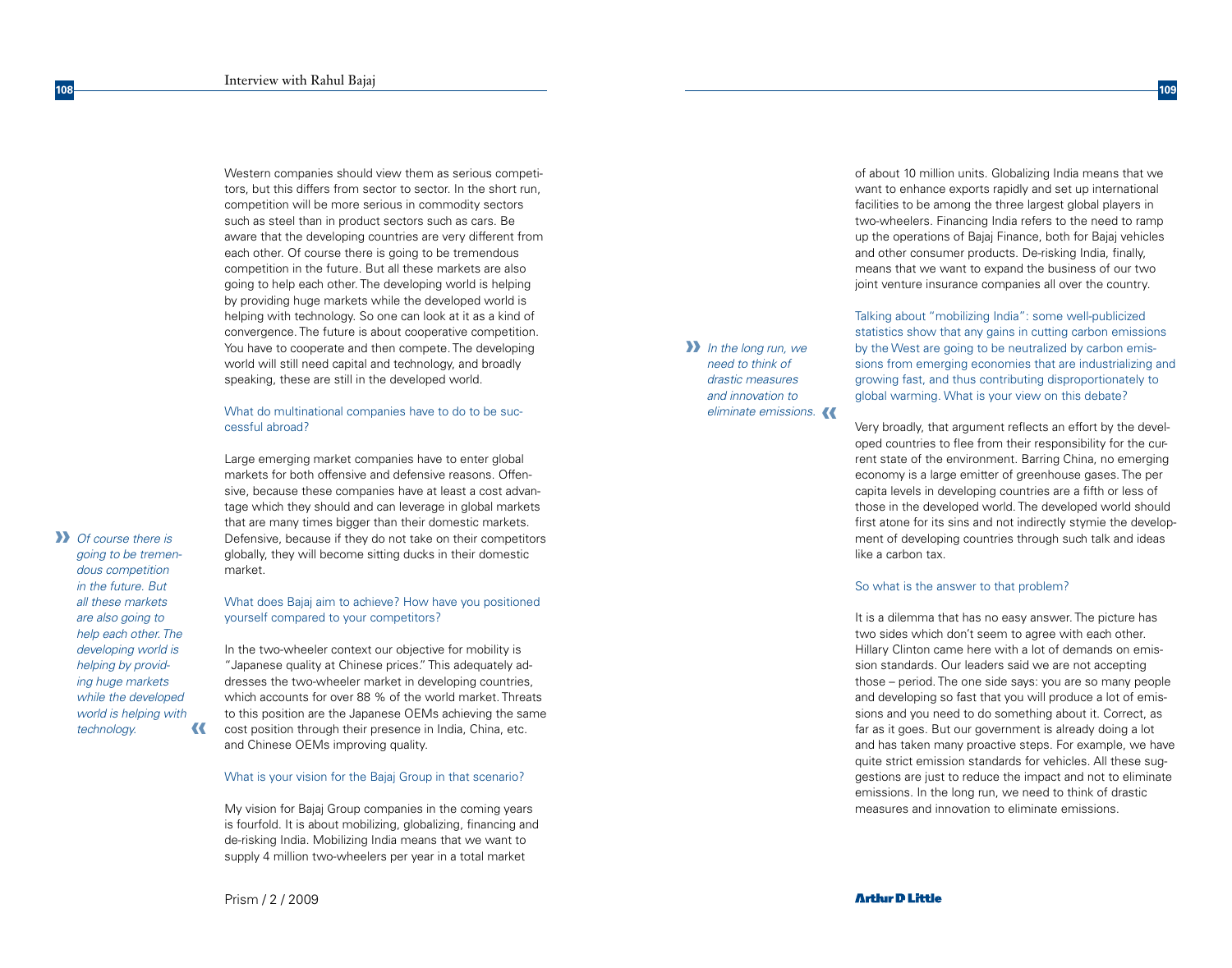Western companies should view them as serious competitors, but this differs from sector to sector. In the short run, competition will be more serious in commodity sectors such as steel than in product sectors such as cars. Be aware that the developing countries are very different from each other. Of course there is going to be tremendous competition in the future. But all these markets are also going to help each other. The developing world is helping by providing huge markets while the developed world is helping with technology. So one can look at it as a kind of convergence. The future is about cooperative competition. You have to cooperate and then compete. The developing world will still need capital and technology, and broadly speaking, these are still in the developed world.

### What do multinational companies have to do to be successful abroad?

Large emerging market companies have to enter global markets for both offensive and defensive reasons. Offensive, because these companies have at least a cost advantage which they should and can leverage in global markets that are many times bigger than their domestic markets. Defensive, because if they do not take on their competitors globally, they will become sitting ducks in their domestic market.

# What does Bajaj aim to achieve? How have you positioned yourself compared to your competitors?

In the two-wheeler context our objective for mobility is "Japanese quality at Chinese prices." This adequately addresses the two-wheeler market in developing countries, which accounts for over 88 % of the world market. Threats to this position are the Japanese OEMs achieving the same cost position through their presence in India, China, etc. and Chinese OEMs improving quality.

#### What is your vision for the Bajaj Group in that scenario?

My vision for Bajaj Group companies in the coming years is fourfold. It is about mobilizing, globalizing, financing and de-risking India. Mobilizing India means that we want to supply 4 million two-wheelers per year in a total market

means that we want to expand the business of our two joint venture insurance companies all over the country. Talking about "mobilizing India": some well-publicized statistics show that any gains in cutting carbon emissions by the West are going to be neutralized by carbon emissions from emerging economies that are industrializing and growing fast, and thus contributing disproportionately to **»** *In the long run, we need to think of drastic measures* 

*eliminate emissions.* 

*and innovation to* 

Very broadly, that argument reflects an effort by the developed countries to flee from their responsibility for the current state of the environment. Barring China, no emerging economy is a large emitter of greenhouse gases. The per capita levels in developing countries are a fifth or less of those in the developed world. The developed world should first atone for its sins and not indirectly stymie the development of developing countries through such talk and ideas like a carbon tax.

global warming. What is your view on this debate?

of about 10 million units. Globalizing India means that we want to enhance exports rapidly and set up international facilities to be among the three largest global players in two-wheelers. Financing India refers to the need to ramp up the operations of Bajaj Finance, both for Bajaj vehicles and other consumer products. De-risking India, finally,

#### So what is the answer to that problem?

It is a dilemma that has no easy answer. The picture has two sides which don't seem to agree with each other. Hillary Clinton came here with a lot of demands on emission standards. Our leaders said we are not accepting those – period. The one side says: you are so many people and developing so fast that you will produce a lot of emissions and you need to do something about it. Correct, as far as it goes. But our government is already doing a lot and has taken many proactive steps. For example, we have quite strict emission standards for vehicles. All these suggestions are just to reduce the impact and not to eliminate emissions. In the long run, we need to think of drastic measures and innovation to eliminate emissions.

Prism / 2 / 2009

# **Arthur D Little**

**»** *Of course there is*  **«** *going to be tremendous competition in the future. But all these markets are also going to help each other. The developing world is helping by providing huge markets while the developed world is helping with technology.*

**108**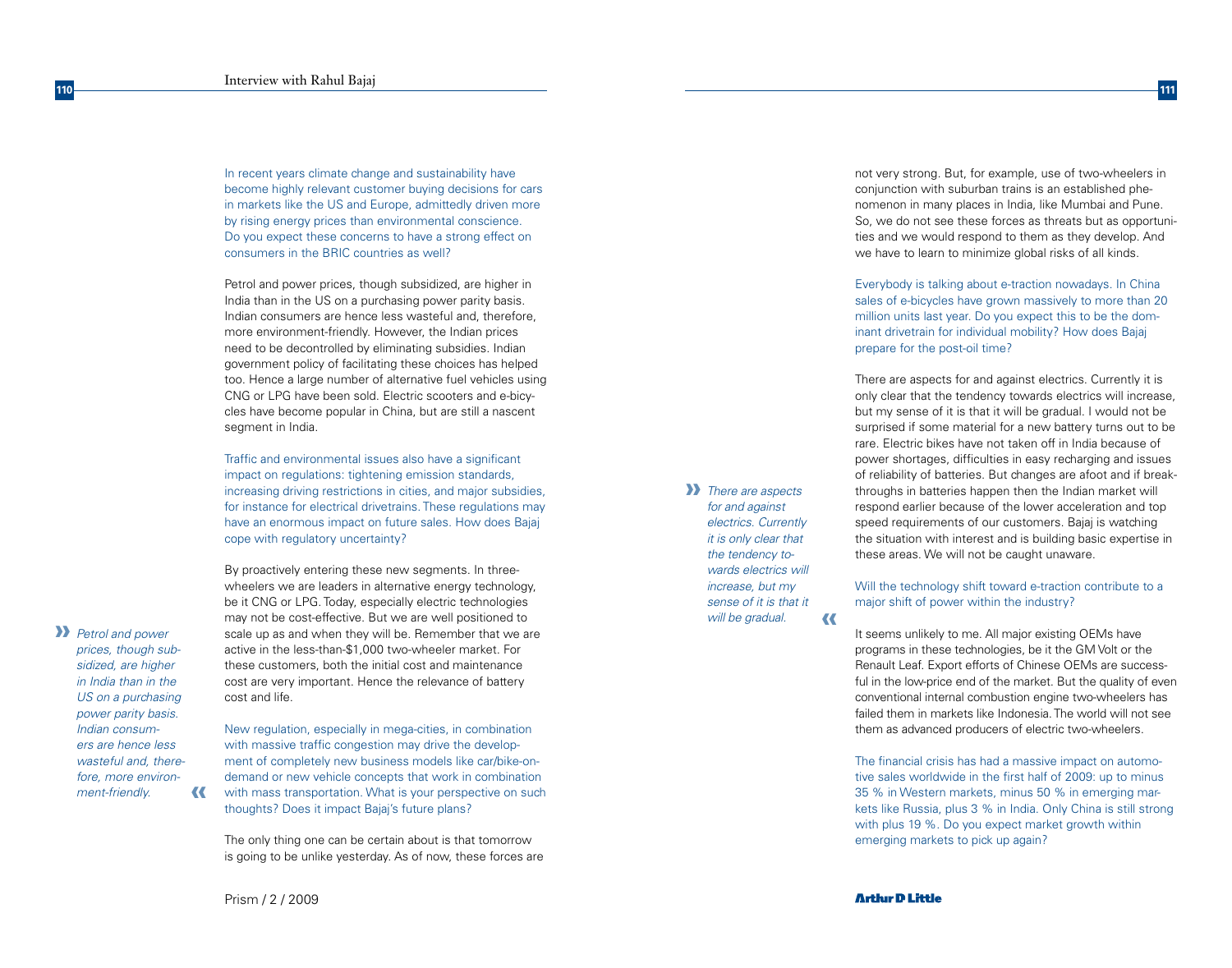In recent years climate change and sustainability have become highly relevant customer buying decisions for cars in markets like the US and Europe, admittedly driven more by rising energy prices than environmental conscience. Do you expect these concerns to have a strong effect on consumers in the BRIC countries as well?

Petrol and power prices, though subsidized, are higher in India than in the US on a purchasing power parity basis. Indian consumers are hence less wasteful and, therefore, more environment-friendly. However, the Indian prices need to be decontrolled by eliminating subsidies. Indian government policy of facilitating these choices has helped too. Hence a large number of alternative fuel vehicles using CNG or LPG have been sold. Electric scooters and e-bicycles have become popular in China, but are still a nascent segment in India.

Traffic and environmental issues also have a significant impact on regulations: tightening emission standards, increasing driving restrictions in cities, and major subsidies, for instance for electrical drivetrains. These regulations may have an enormous impact on future sales. How does Bajaj cope with regulatory uncertainty?

By proactively entering these new segments. In threewheelers we are leaders in alternative energy technology, be it CNG or LPG. Today, especially electric technologies may not be cost-effective. But we are well positioned to scale up as and when they will be. Remember that we are active in the less-than-\$1,000 two-wheeler market. For these customers, both the initial cost and maintenance cost are very important. Hence the relevance of battery cost and life.

New regulation, especially in mega-cities, in combination with massive traffic congestion may drive the development of completely new business models like car/bike-ondemand or new vehicle concepts that work in combination with mass transportation. What is your perspective on such thoughts? Does it impact Bajaj's future plans?

The only thing one can be certain about is that tomorrow is going to be unlike yesterday. As of now, these forces are **»** *There are aspects*  **«** *for and against electrics. Currently it is only clear that the tendency towards electrics will increase, but my sense of it is that it will be gradual.*

not very strong. But, for example, use of two-wheelers in conjunction with suburban trains is an established phenomenon in many places in India, like Mumbai and Pune. So, we do not see these forces as threats but as opportunities and we would respond to them as they develop. And we have to learn to minimize global risks of all kinds.

Everybody is talking about e-traction nowadays. In China sales of e-bicycles have grown massively to more than 20 million units last year. Do you expect this to be the dominant drivetrain for individual mobility? How does Bajaj prepare for the post-oil time?

There are aspects for and against electrics. Currently it is only clear that the tendency towards electrics will increase, but my sense of it is that it will be gradual. I would not be surprised if some material for a new battery turns out to be rare. Electric bikes have not taken off in India because of power shortages, difficulties in easy recharging and issues of reliability of batteries. But changes are afoot and if breakthroughs in batteries happen then the Indian market will respond earlier because of the lower acceleration and top speed requirements of our customers. Bajaj is watching the situation with interest and is building basic expertise in these areas. We will not be caught unaware.

Will the technology shift toward e-traction contribute to a major shift of power within the industry?

It seems unlikely to me. All major existing OEMs have programs in these technologies, be it the GM Volt or the Renault Leaf. Export efforts of Chinese OEMs are successful in the low-price end of the market. But the quality of even conventional internal combustion engine two-wheelers has failed them in markets like Indonesia. The world will not see them as advanced producers of electric two-wheelers.

The financial crisis has had a massive impact on automotive sales worldwide in the first half of 2009: up to minus 35 % in Western markets, minus 50 % in emerging markets like Russia, plus 3 % in India. Only China is still strong with plus 19 %. Do you expect market growth within emerging markets to pick up again?

Prism / 2 / 2009

**«**

**»** *Petrol and power prices, though subsidized, are higher in India than in the US on a purchasing power parity basis. Indian consumers are hence less wasteful and, therefore, more environ-*

*ment-friendly.*

**110**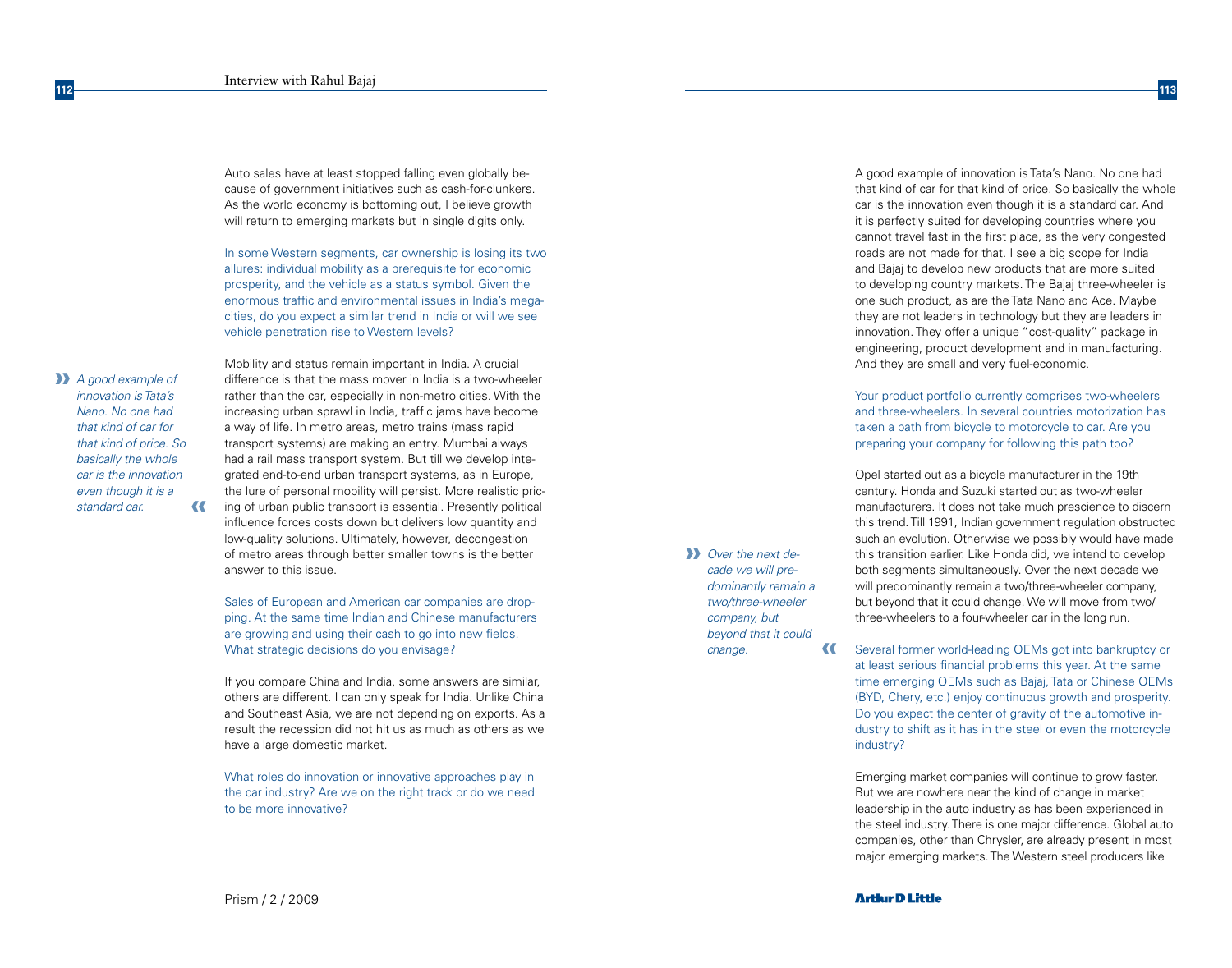Auto sales have at least stopped falling even globally because of government initiatives such as cash-for-clunkers. As the world economy is bottoming out, I believe growth will return to emerging markets but in single digits only.

In some Western segments, car ownership is losing its two allures: individual mobility as a prerequisite for economic prosperity, and the vehicle as a status symbol. Given the enormous traffic and environmental issues in India's megacities, do you expect a similar trend in India or will we see vehicle penetration rise to Western levels?

**»** *A good example of*  **«** *innovation is Tata's Nano. No one had that kind of car for that kind of price. So basically the whole car is the innovation even though it is a standard car.*

**112**

Mobility and status remain important in India. A crucial difference is that the mass mover in India is a two-wheeler rather than the car, especially in non-metro cities. With the increasing urban sprawl in India, traffic jams have become a way of life. In metro areas, metro trains (mass rapid transport systems) are making an entry. Mumbai always had a rail mass transport system. But till we develop integrated end-to-end urban transport systems, as in Europe, the lure of personal mobility will persist. More realistic pricing of urban public transport is essential. Presently political influence forces costs down but delivers low quantity and low-quality solutions. Ultimately, however, decongestion of metro areas through better smaller towns is the better answer to this issue.

Sales of European and American car companies are dropping. At the same time Indian and Chinese manufacturers are growing and using their cash to go into new fields. What strategic decisions do you envisage?

If you compare China and India, some answers are similar, others are different. I can only speak for India. Unlike China and Southeast Asia, we are not depending on exports. As a result the recession did not hit us as much as others as we have a large domestic market.

What roles do innovation or innovative approaches play in the car industry? Are we on the right track or do we need to be more innovative?

A good example of innovation is Tata's Nano. No one had that kind of car for that kind of price. So basically the whole car is the innovation even though it is a standard car. And it is perfectly suited for developing countries where you cannot travel fast in the first place, as the very congested roads are not made for that. I see a big scope for India and Bajaj to develop new products that are more suited to developing country markets. The Bajaj three-wheeler is one such product, as are the Tata Nano and Ace. Maybe they are not leaders in technology but they are leaders in innovation. They offer a unique "cost-quality" package in engineering, product development and in manufacturing. And they are small and very fuel-economic.

**113**

Your product portfolio currently comprises two-wheelers and three-wheelers. In several countries motorization has taken a path from bicycle to motorcycle to car. Are you preparing your company for following this path too?

Opel started out as a bicycle manufacturer in the 19th century. Honda and Suzuki started out as two-wheeler manufacturers. It does not take much prescience to discern this trend. Till 1991, Indian government regulation obstructed such an evolution. Otherwise we possibly would have made this transition earlier. Like Honda did, we intend to develop both segments simultaneously. Over the next decade we will predominantly remain a two/three-wheeler company, but beyond that it could change. We will move from two/ three-wheelers to a four-wheeler car in the long run.

Several former world-leading OEMs got into bankruptcy or **«** at least serious financial problems this year. At the same time emerging OEMs such as Bajaj, Tata or Chinese OEMs (BYD, Chery, etc.) enjoy continuous growth and prosperity. Do you expect the center of gravity of the automotive industry to shift as it has in the steel or even the motorcycle industry?

Emerging market companies will continue to grow faster. But we are nowhere near the kind of change in market leadership in the auto industry as has been experienced in the steel industry. There is one major difference. Global auto companies, other than Chrysler, are already present in most major emerging markets. The Western steel producers like

**»** *Over the next decade we will predominantly remain a two/three-wheeler company, but beyond that it could* 

*change.*